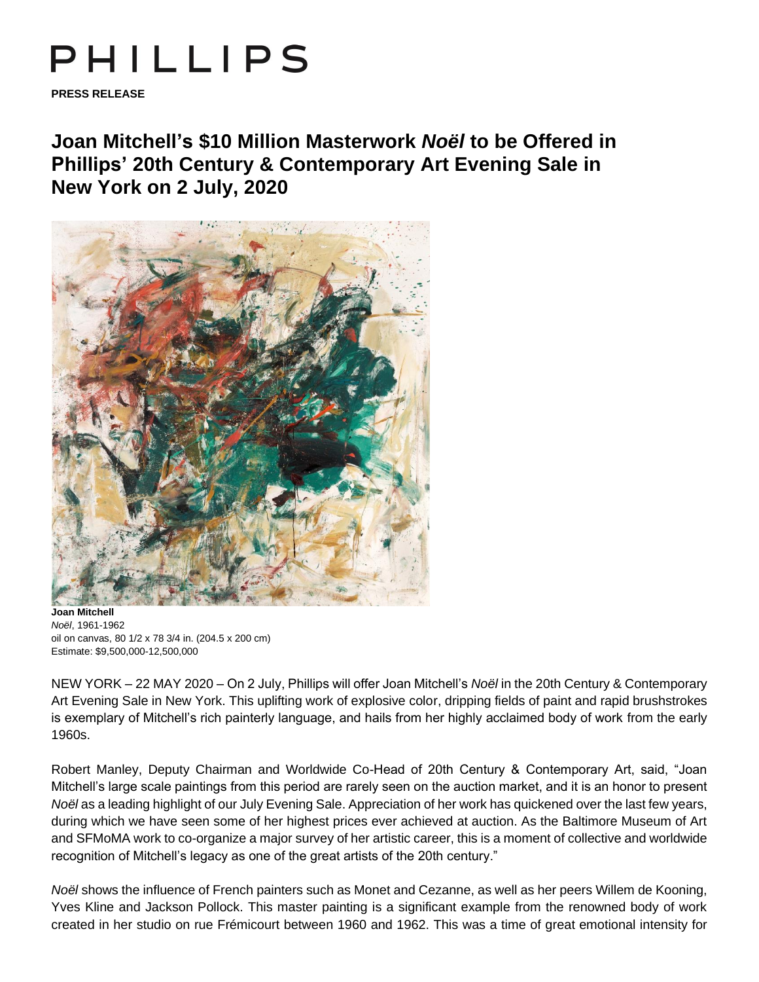## PHILLIPS

**PRESS RELEASE**

**Joan Mitchell's \$10 Million Masterwork** *Noël* **to be Offered in Phillips' 20th Century & Contemporary Art Evening Sale in New York on 2 July, 2020**



**Joan Mitchell** *Noël*, 1961-1962 oil on canvas, 80 1/2 x 78 3/4 in. (204.5 x 200 cm) Estimate: \$9,500,000-12,500,000

NEW YORK – 22 MAY 2020 – On 2 July, Phillips will offer Joan Mitchell's *Noël* in the 20th Century & Contemporary Art Evening Sale in New York. This uplifting work of explosive color, dripping fields of paint and rapid brushstrokes is exemplary of Mitchell's rich painterly language, and hails from her highly acclaimed body of work from the early 1960s.

Robert Manley, Deputy Chairman and Worldwide Co-Head of 20th Century & Contemporary Art, said, "Joan Mitchell's large scale paintings from this period are rarely seen on the auction market, and it is an honor to present *Noël* as a leading highlight of our July Evening Sale. Appreciation of her work has quickened over the last few years, during which we have seen some of her highest prices ever achieved at auction. As the Baltimore Museum of Art and SFMoMA work to co-organize a major survey of her artistic career, this is a moment of collective and worldwide recognition of Mitchell's legacy as one of the great artists of the 20th century."

*Noël* shows the influence of French painters such as Monet and Cezanne, as well as her peers Willem de Kooning, Yves Kline and Jackson Pollock. This master painting is a significant example from the renowned body of work created in her studio on rue Frémicourt between 1960 and 1962. This was a time of great emotional intensity for